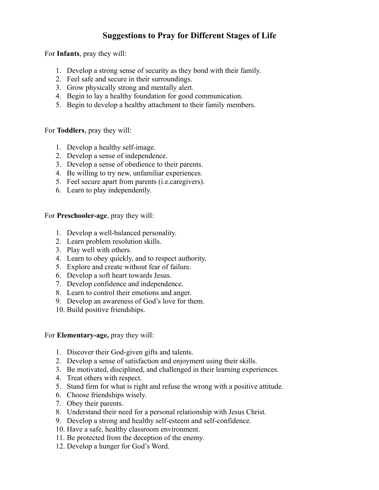## **Suggestions to Pray for Different Stages of Life**

For **Infants**, pray they will:

- 1. Develop a strong sense of security as they bond with their family.
- 2. Feel safe and secure in their surroundings.
- 3. Grow physically strong and mentally alert.
- 4. Begin to lay a healthy foundation for good communication.
- 5. Begin to develop a healthy attachment to their family members.

For **Toddlers**, pray they will:

- 1. Develop a healthy self-image.
- 2. Develop a sense of independence.
- 3. Develop a sense of obedience to their parents.
- 4. Be willing to try new, unfamiliar experiences.
- 5. Feel secure apart from parents (i.e.caregivers).
- 6. Learn to play independently.

For **Preschooler-age**, pray they will:

- 1. Develop a well-balanced personality.
- 2. Learn problem resolution skills.
- 3. Play well with others.
- 4. Learn to obey quickly, and to respect authority.
- 5. Explore and create without fear of failure.
- 6. Develop a soft heart towards Jesus.
- 7. Develop confidence and independence.
- 8. Learn to control their emotions and anger.
- 9. Develop an awareness of God's love for them.
- 10. Build positive friendships.

## For **Elementary-age,** pray they will:

- 1. Discover their God-given gifts and talents.
- 2. Develop a sense of satisfaction and enjoyment using their skills.
- 3. Be motivated, disciplined, and challenged in their learning experiences.
- 4. Treat others with respect.
- 5. Stand firm for what is right and refuse the wrong with a positive attitude.
- 6. Choose friendships wisely.
- 7. Obey their parents.
- 8. Understand their need for a personal relationship with Jesus Christ.
- 9. Develop a strong and healthy self-esteem and self-confidence.
- 10. Have a safe, healthy classroom environment.
- 11. Be protected from the deception of the enemy.
- 12. Develop a hunger for God's Word.